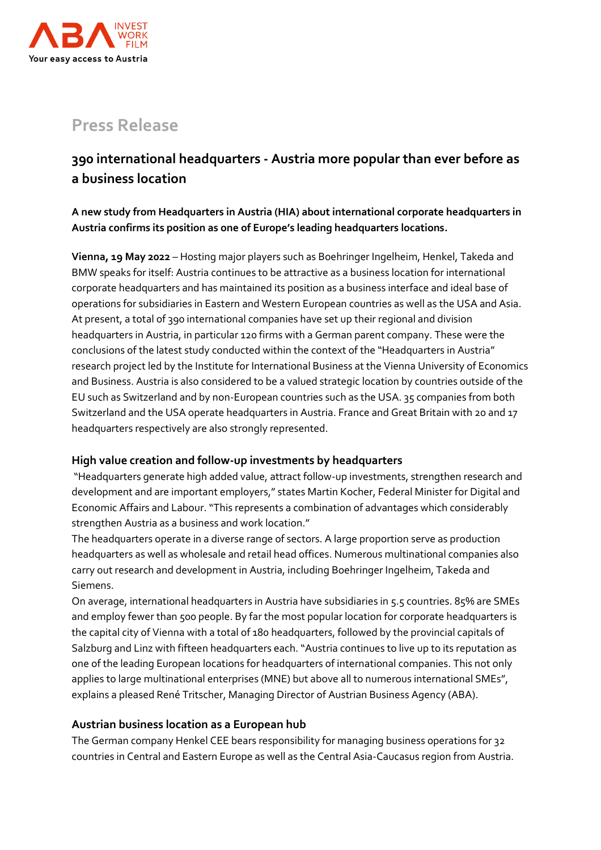

# **Press Release**

## **390 international headquarters - Austria more popular than ever before as a business location**

**A new study from Headquarters in Austria (HIA) about international corporate headquarters in Austria confirms its position as one of Europe's leading headquarters locations.**

**Vienna, 19 May 2022** – Hosting major players such as Boehringer Ingelheim, Henkel, Takeda and BMW speaks for itself: Austria continues to be attractive as a business location for international corporate headquarters and has maintained its position as a business interface and ideal base of operations for subsidiaries in Eastern and Western European countries as well as the USA and Asia. At present, a total of 390 international companies have set up their regional and division headquarters in Austria, in particular 120 firms with a German parent company. These were the conclusions of the latest study conducted within the context of the "Headquarters in Austria" research project led by the Institute for International Business at the Vienna University of Economics and Business. Austria is also considered to be a valued strategic location by countries outside of the EU such as Switzerland and by non-European countries such as the USA. 35 companies from both Switzerland and the USA operate headquarters in Austria. France and Great Britain with 20 and 17 headquarters respectively are also strongly represented.

## **High value creation and follow-up investments by headquarters**

"Headquarters generate high added value, attract follow-up investments, strengthen research and development and are important employers," states Martin Kocher, Federal Minister for Digital and Economic Affairs and Labour. "This represents a combination of advantages which considerably strengthen Austria as a business and work location."

The headquarters operate in a diverse range of sectors. A large proportion serve as production headquarters as well as wholesale and retail head offices. Numerous multinational companies also carry out research and development in Austria, including Boehringer Ingelheim, Takeda and Siemens.

On average, international headquarters in Austria have subsidiaries in 5.5 countries. 85% are SMEs and employ fewer than 500 people. By far the most popular location for corporate headquarters is the capital city of Vienna with a total of 180 headquarters, followed by the provincial capitals of Salzburg and Linz with fifteen headquarters each. "Austria continues to live up to its reputation as one of the leading European locations for headquarters of international companies. This not only applies to large multinational enterprises (MNE) but above all to numerous international SMEs", explains a pleased René Tritscher, Managing Director of Austrian Business Agency (ABA).

## **Austrian business location as a European hub**

The German company Henkel CEE bears responsibility for managing business operations for 32 countries in Central and Eastern Europe as well as the Central Asia-Caucasus region from Austria.